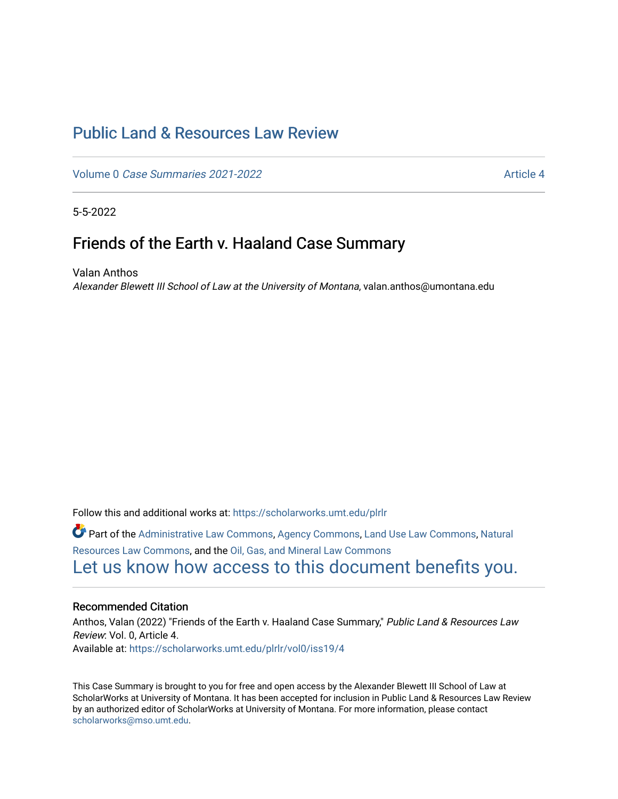# [Public Land & Resources Law Review](https://scholarworks.umt.edu/plrlr)

Volume 0 [Case Summaries 2021-2022](https://scholarworks.umt.edu/plrlr/vol0) Article 4

5-5-2022

# Friends of the Earth v. Haaland Case Summary

Valan Anthos Alexander Blewett III School of Law at the University of Montana, valan.anthos@umontana.edu

Follow this and additional works at: [https://scholarworks.umt.edu/plrlr](https://scholarworks.umt.edu/plrlr?utm_source=scholarworks.umt.edu%2Fplrlr%2Fvol0%2Fiss19%2F4&utm_medium=PDF&utm_campaign=PDFCoverPages) 

Part of the [Administrative Law Commons,](http://network.bepress.com/hgg/discipline/579?utm_source=scholarworks.umt.edu%2Fplrlr%2Fvol0%2Fiss19%2F4&utm_medium=PDF&utm_campaign=PDFCoverPages) [Agency Commons,](http://network.bepress.com/hgg/discipline/829?utm_source=scholarworks.umt.edu%2Fplrlr%2Fvol0%2Fiss19%2F4&utm_medium=PDF&utm_campaign=PDFCoverPages) [Land Use Law Commons,](http://network.bepress.com/hgg/discipline/852?utm_source=scholarworks.umt.edu%2Fplrlr%2Fvol0%2Fiss19%2F4&utm_medium=PDF&utm_campaign=PDFCoverPages) [Natural](http://network.bepress.com/hgg/discipline/863?utm_source=scholarworks.umt.edu%2Fplrlr%2Fvol0%2Fiss19%2F4&utm_medium=PDF&utm_campaign=PDFCoverPages)  [Resources Law Commons](http://network.bepress.com/hgg/discipline/863?utm_source=scholarworks.umt.edu%2Fplrlr%2Fvol0%2Fiss19%2F4&utm_medium=PDF&utm_campaign=PDFCoverPages), and the [Oil, Gas, and Mineral Law Commons](http://network.bepress.com/hgg/discipline/864?utm_source=scholarworks.umt.edu%2Fplrlr%2Fvol0%2Fiss19%2F4&utm_medium=PDF&utm_campaign=PDFCoverPages)  [Let us know how access to this document benefits you.](https://goo.gl/forms/s2rGfXOLzz71qgsB2) 

# Recommended Citation

Anthos, Valan (2022) "Friends of the Earth v. Haaland Case Summary," Public Land & Resources Law Review: Vol. 0, Article 4. Available at: [https://scholarworks.umt.edu/plrlr/vol0/iss19/4](https://scholarworks.umt.edu/plrlr/vol0/iss19/4?utm_source=scholarworks.umt.edu%2Fplrlr%2Fvol0%2Fiss19%2F4&utm_medium=PDF&utm_campaign=PDFCoverPages)

This Case Summary is brought to you for free and open access by the Alexander Blewett III School of Law at ScholarWorks at University of Montana. It has been accepted for inclusion in Public Land & Resources Law Review by an authorized editor of ScholarWorks at University of Montana. For more information, please contact [scholarworks@mso.umt.edu.](mailto:scholarworks@mso.umt.edu)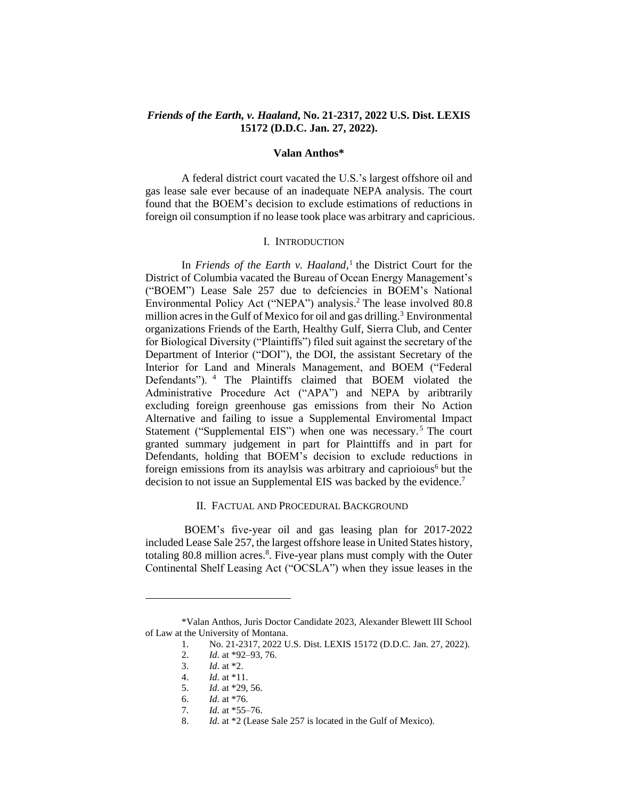## *Friends of the Earth, v. Haaland***, No. 21-2317, 2022 U.S. Dist. LEXIS 15172 (D.D.C. Jan. 27, 2022).**

#### **Valan Anthos\***

A federal district court vacated the U.S.'s largest offshore oil and gas lease sale ever because of an inadequate NEPA analysis. The court found that the BOEM's decision to exclude estimations of reductions in foreign oil consumption if no lease took place was arbitrary and capricious.

#### I. INTRODUCTION

In *Friends of the Earth v. Haaland,* 1 the District Court for the District of Columbia vacated the Bureau of Ocean Energy Management's ("BOEM") Lease Sale 257 due to defciencies in BOEM's National Environmental Policy Act ("NEPA") analysis. <sup>2</sup> The lease involved 80.8 million acres in the Gulf of Mexico for oil and gas drilling.<sup>3</sup> Environmental organizations Friends of the Earth, Healthy Gulf, Sierra Club, and Center for Biological Diversity ("Plaintiffs") filed suit against the secretary of the Department of Interior ("DOI"), the DOI, the assistant Secretary of the Interior for Land and Minerals Management, and BOEM ("Federal Defendants"). <sup>4</sup> The Plaintiffs claimed that BOEM violated the Administrative Procedure Act ("APA") and NEPA by aribtrarily excluding foreign greenhouse gas emissions from their No Action Alternative and failing to issue a Supplemental Enviromental Impact Statement ("Supplemental EIS") when one was necessary.<sup>5</sup> The court granted summary judgement in part for Plainttiffs and in part for Defendants, holding that BOEM's decision to exclude reductions in foreign emissions from its anaylsis was arbitrary and caprioious $<sup>6</sup>$  but the</sup> decision to not issue an Supplemental EIS was backed by the evidence.<sup>7</sup>

### II. FACTUAL AND PROCEDURAL BACKGROUND

BOEM's five-year oil and gas leasing plan for 2017-2022 included Lease Sale 257, the largest offshore lease in United States history, totaling 80.8 million acres.<sup>8</sup>. Five-year plans must comply with the Outer Continental Shelf Leasing Act ("OCSLA") when they issue leases in the

<sup>\*</sup>Valan Anthos, Juris Doctor Candidate 2023, Alexander Blewett III School of Law at the University of Montana.

<sup>1.</sup> No. 21-2317, 2022 U.S. Dist. LEXIS 15172 (D.D.C. Jan. 27, 2022).

<sup>2.</sup> *Id.* at \*92–93, 76.

<sup>3.</sup> *Id.* at \*2.

<sup>4.</sup> *Id.* at \*11.

<sup>5.</sup> *Id.* at \*29, 56.

<sup>6.</sup> *Id.* at \*76.

<sup>7.</sup> *Id.* at \*55–76.

<sup>8.</sup> *Id.* at \*2 (Lease Sale 257 is located in the Gulf of Mexico).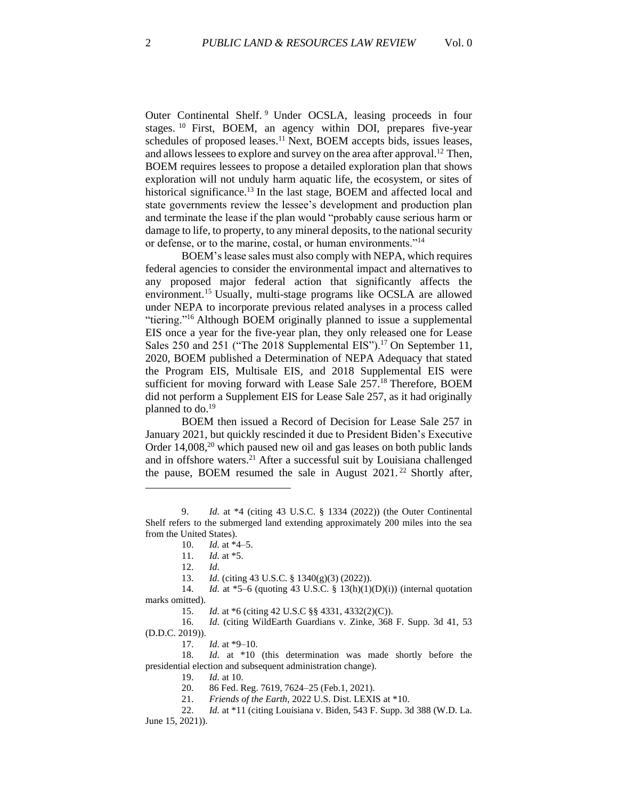Outer Continental Shelf. <sup>9</sup> Under OCSLA, leasing proceeds in four stages. <sup>10</sup> First, BOEM, an agency within DOI, prepares five-year schedules of proposed leases.<sup>11</sup> Next, BOEM accepts bids, issues leases, and allows lessees to explore and survey on the area after approval.<sup>12</sup> Then, BOEM requires lessees to propose a detailed exploration plan that shows exploration will not unduly harm aquatic life, the ecosystem, or sites of historical significance.<sup>13</sup> In the last stage, BOEM and affected local and state governments review the lessee's development and production plan and terminate the lease if the plan would "probably cause serious harm or damage to life, to property, to any mineral deposits, to the national security or defense, or to the marine, costal, or human environments."<sup>14</sup>

BOEM's lease sales must also comply with NEPA, which requires federal agencies to consider the environmental impact and alternatives to any proposed major federal action that significantly affects the environment. <sup>15</sup> Usually, multi-stage programs like OCSLA are allowed under NEPA to incorporate previous related analyses in a process called "tiering."<sup>16</sup> Although BOEM originally planned to issue a supplemental EIS once a year for the five-year plan, they only released one for Lease Sales 250 and 251 ("The 2018 Supplemental EIS").<sup>17</sup> On September 11, 2020, BOEM published a Determination of NEPA Adequacy that stated the Program EIS, Multisale EIS, and 2018 Supplemental EIS were sufficient for moving forward with Lease Sale 257.<sup>18</sup> Therefore, BOEM did not perform a Supplement EIS for Lease Sale 257, as it had originally planned to do.<sup>19</sup>

BOEM then issued a Record of Decision for Lease Sale 257 in January 2021, but quickly rescinded it due to President Biden's Executive Order  $14,008$ ,<sup>20</sup> which paused new oil and gas leases on both public lands and in offshore waters.<sup>21</sup> After a successful suit by Louisiana challenged the pause, BOEM resumed the sale in August  $2021$ .<sup>22</sup> Shortly after,

13. *Id.* (citing 43 U.S.C. § 1340(g)(3) (2022)).

17. *Id.* at \*9–10.

18. *Id.* at \*10 (this determination was made shortly before the presidential election and subsequent administration change).

19. *Id.* at 10.

20. 86 Fed. Reg. 7619, 7624–25 (Feb.1, 2021).

21. *Friends of the Earth*, 2022 U.S. Dist. LEXIS at \*10.

22. *Id.* at \*11 (citing Louisiana v. Biden, 543 F. Supp. 3d 388 (W.D. La. June 15, 2021)).

<sup>9.</sup> *Id.* at \*4 (citing 43 U.S.C. § 1334 (2022)) (the Outer Continental Shelf refers to the submerged land extending approximately 200 miles into the sea from the United States).

<sup>10.</sup> *Id.* at \*4–5.

<sup>11.</sup> *Id.* at \*5.

<sup>12.</sup> *Id.*

<sup>14.</sup> *Id.* at \*5–6 (quoting 43 U.S.C. § 13(h)(1)(D)(i)) (internal quotation marks omitted).

<sup>15.</sup> *Id.* at \*6 (citing 42 U.S.C §§ 4331, 4332(2)(C)).

<sup>16.</sup> *Id.* (citing WildEarth Guardians v. Zinke, 368 F. Supp. 3d 41, 53 (D.D.C. 2019)).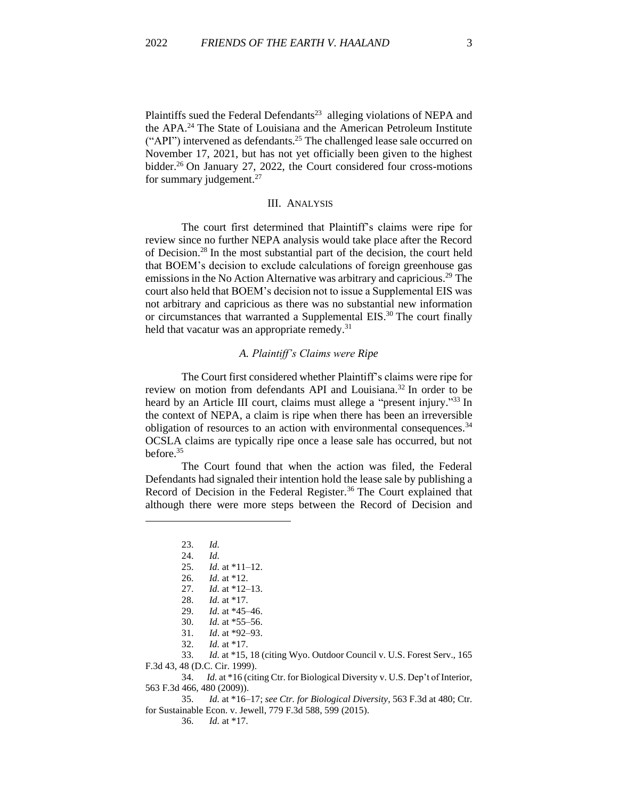Plaintiffs sued the Federal Defendants<sup>23</sup> alleging violations of NEPA and the APA.<sup>24</sup> The State of Louisiana and the American Petroleum Institute ("API") intervened as defendants.<sup>25</sup> The challenged lease sale occurred on November 17, 2021, but has not yet officially been given to the highest bidder. <sup>26</sup> On January 27, 2022, the Court considered four cross-motions for summary judgement. $27$ 

### III. ANALYSIS

The court first determined that Plaintiff's claims were ripe for review since no further NEPA analysis would take place after the Record of Decision.<sup>28</sup> In the most substantial part of the decision, the court held that BOEM's decision to exclude calculations of foreign greenhouse gas emissions in the No Action Alternative was arbitrary and capricious.<sup>29</sup> The court also held that BOEM's decision not to issue a Supplemental EIS was not arbitrary and capricious as there was no substantial new information or circumstances that warranted a Supplemental EIS.<sup>30</sup> The court finally held that vacatur was an appropriate remedy.<sup>31</sup>

#### *A. Plaintiff's Claims were Ripe*

The Court first considered whether Plaintiff's claims were ripe for review on motion from defendants API and Louisiana.<sup>32</sup> In order to be heard by an Article III court, claims must allege a "present injury."<sup>33</sup> In the context of NEPA, a claim is ripe when there has been an irreversible obligation of resources to an action with environmental consequences.<sup>34</sup> OCSLA claims are typically ripe once a lease sale has occurred, but not before. 35

The Court found that when the action was filed, the Federal Defendants had signaled their intention hold the lease sale by publishing a Record of Decision in the Federal Register.<sup>36</sup> The Court explained that although there were more steps between the Record of Decision and

32. *Id.* at \*17.

34. *Id.* at \*16 (citing Ctr. for Biological Diversity v. U.S. Dep't of Interior, 563 F.3d 466, 480 (2009)).

36. *Id.* at \*17.

<sup>23.</sup> *Id.*

<sup>24.</sup> *Id.*

<sup>25.</sup> *Id.* at \*11–12.

<sup>26.</sup> *Id.* at \*12. 27. *Id.* at \*12–13.

<sup>28.</sup> *Id.* at \*17.

<sup>29.</sup> *Id.* at \*45–46. 30. *Id.* at \*55–56.

<sup>31.</sup> *Id*. at \*92–93.

<sup>33.</sup> *Id.* at \*15, 18 (citing Wyo. Outdoor Council v. U.S. Forest Serv., 165 F.3d 43, 48 (D.C. Cir. 1999).

<sup>35.</sup> *Id.* at \*16–17; *see Ctr. for Biological Diversity*, 563 F.3d at 480; Ctr. for Sustainable Econ. v. Jewell, 779 F.3d 588, 599 (2015).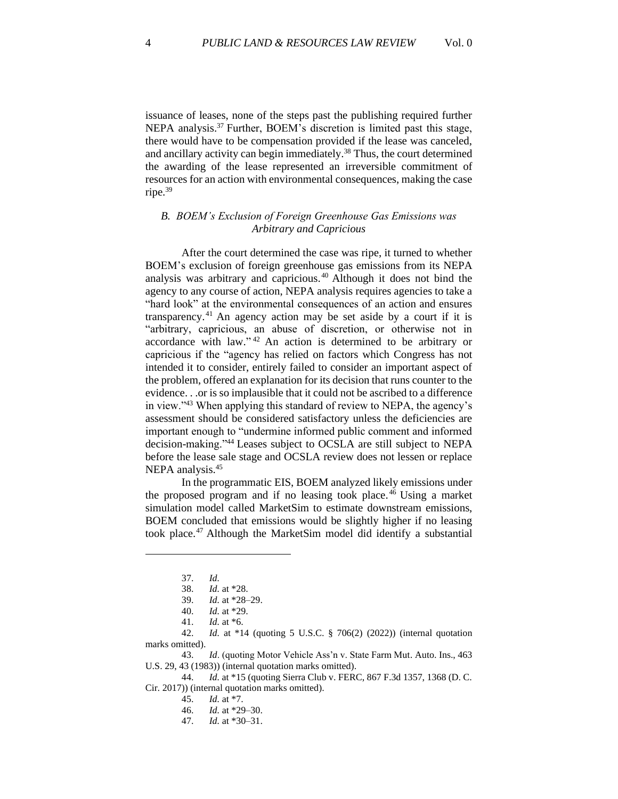issuance of leases, none of the steps past the publishing required further NEPA analysis.<sup>37</sup> Further, BOEM's discretion is limited past this stage, there would have to be compensation provided if the lease was canceled, and ancillary activity can begin immediately.<sup>38</sup> Thus, the court determined the awarding of the lease represented an irreversible commitment of resources for an action with environmental consequences, making the case ripe.<sup>39</sup>

# *B. BOEM's Exclusion of Foreign Greenhouse Gas Emissions was Arbitrary and Capricious*

After the court determined the case was ripe, it turned to whether BOEM's exclusion of foreign greenhouse gas emissions from its NEPA analysis was arbitrary and capricious. <sup>40</sup> Although it does not bind the agency to any course of action, NEPA analysis requires agencies to take a "hard look" at the environmental consequences of an action and ensures transparency. <sup>41</sup> An agency action may be set aside by a court if it is "arbitrary, capricious, an abuse of discretion, or otherwise not in accordance with law." <sup>42</sup> An action is determined to be arbitrary or capricious if the "agency has relied on factors which Congress has not intended it to consider, entirely failed to consider an important aspect of the problem, offered an explanation for its decision that runs counter to the evidence. . .or is so implausible that it could not be ascribed to a difference in view."<sup>43</sup> When applying this standard of review to NEPA, the agency's assessment should be considered satisfactory unless the deficiencies are important enough to "undermine informed public comment and informed decision-making."<sup>44</sup> Leases subject to OCSLA are still subject to NEPA before the lease sale stage and OCSLA review does not lessen or replace NEPA analysis.<sup>45</sup>

In the programmatic EIS, BOEM analyzed likely emissions under the proposed program and if no leasing took place.<sup>46</sup> Using a market simulation model called MarketSim to estimate downstream emissions, BOEM concluded that emissions would be slightly higher if no leasing took place.<sup>47</sup> Although the MarketSim model did identify a substantial

39. *Id.* at \*28–29.

42. *Id.* at \*14 (quoting 5 U.S.C. § 706(2) (2022)) (internal quotation marks omitted).

43. *Id*. (quoting Motor Vehicle Ass'n v. State Farm Mut. Auto. Ins., 463 U.S. 29, 43 (1983)) (internal quotation marks omitted).

44. *Id.* at \*15 (quoting Sierra Club v. FERC, 867 F.3d 1357, 1368 (D. C. Cir. 2017)) (internal quotation marks omitted).

<sup>37.</sup> *Id.*

<sup>38.</sup> *Id.* at \*28.

<sup>40.</sup> *Id.* at \*29.

<sup>41.</sup> *Id.* at \*6.

<sup>45.</sup> *Id.* at \*7.

<sup>46.</sup> *Id.* at \*29–30.

<sup>47.</sup> *Id.* at \*30–31.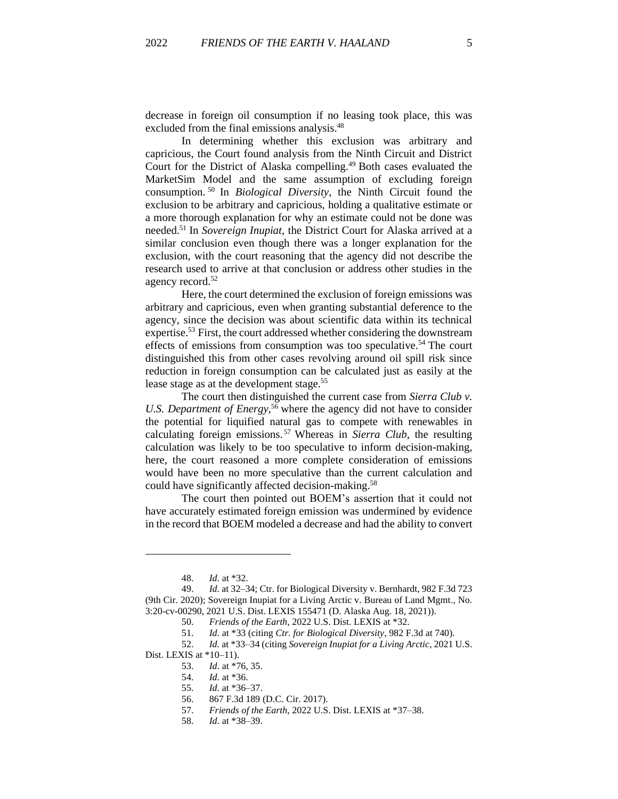decrease in foreign oil consumption if no leasing took place, this was excluded from the final emissions analysis.<sup>48</sup>

In determining whether this exclusion was arbitrary and capricious, the Court found analysis from the Ninth Circuit and District Court for the District of Alaska compelling.<sup>49</sup> Both cases evaluated the MarketSim Model and the same assumption of excluding foreign consumption. <sup>50</sup> In *Biological Diversity*, the Ninth Circuit found the exclusion to be arbitrary and capricious, holding a qualitative estimate or a more thorough explanation for why an estimate could not be done was needed. <sup>51</sup> In *Sovereign Inupiat*, the District Court for Alaska arrived at a similar conclusion even though there was a longer explanation for the exclusion, with the court reasoning that the agency did not describe the research used to arrive at that conclusion or address other studies in the agency record.<sup>52</sup>

Here, the court determined the exclusion of foreign emissions was arbitrary and capricious, even when granting substantial deference to the agency, since the decision was about scientific data within its technical expertise.<sup>53</sup> First, the court addressed whether considering the downstream effects of emissions from consumption was too speculative.<sup>54</sup> The court distinguished this from other cases revolving around oil spill risk since reduction in foreign consumption can be calculated just as easily at the lease stage as at the development stage.<sup>55</sup>

The court then distinguished the current case from *Sierra Club v. U.S. Department of Energy*, <sup>56</sup> where the agency did not have to consider the potential for liquified natural gas to compete with renewables in calculating foreign emissions. <sup>57</sup> Whereas in *Sierra Club*, the resulting calculation was likely to be too speculative to inform decision-making, here, the court reasoned a more complete consideration of emissions would have been no more speculative than the current calculation and could have significantly affected decision-making.<sup>58</sup>

The court then pointed out BOEM's assertion that it could not have accurately estimated foreign emission was undermined by evidence in the record that BOEM modeled a decrease and had the ability to convert

Dist. LEXIS at \*10–11).

<sup>48.</sup> *Id.* at \*32.

<sup>49.</sup> *Id.* at 32–34; Ctr. for Biological Diversity v. Bernhardt, 982 F.3d 723 (9th Cir. 2020); Sovereign Inupiat for a Living Arctic v. Bureau of Land Mgmt., No. 3:20-cv-00290, 2021 U.S. Dist. LEXIS 155471 (D. Alaska Aug. 18, 2021)).

<sup>50.</sup> *Friends of the Earth*, 2022 U.S. Dist. LEXIS at \*32.

<sup>51.</sup> *Id.* at \*33 (citing *Ctr. for Biological Diversity*, 982 F.3d at 740).

<sup>52.</sup> *Id.* at \*33–34 (citing *Sovereign Inupiat for a Living Arctic*, 2021 U.S.

<sup>53.</sup> *Id.* at \*76, 35.

<sup>54.</sup> *Id.* at \*36.

<sup>55.</sup> *Id.* at \*36–37.

<sup>56.</sup> 867 F.3d 189 (D.C. Cir. 2017).

<sup>57.</sup> *Friends of the Earth*, 2022 U.S. Dist. LEXIS at \*37–38.

<sup>58.</sup> *Id.* at \*38–39.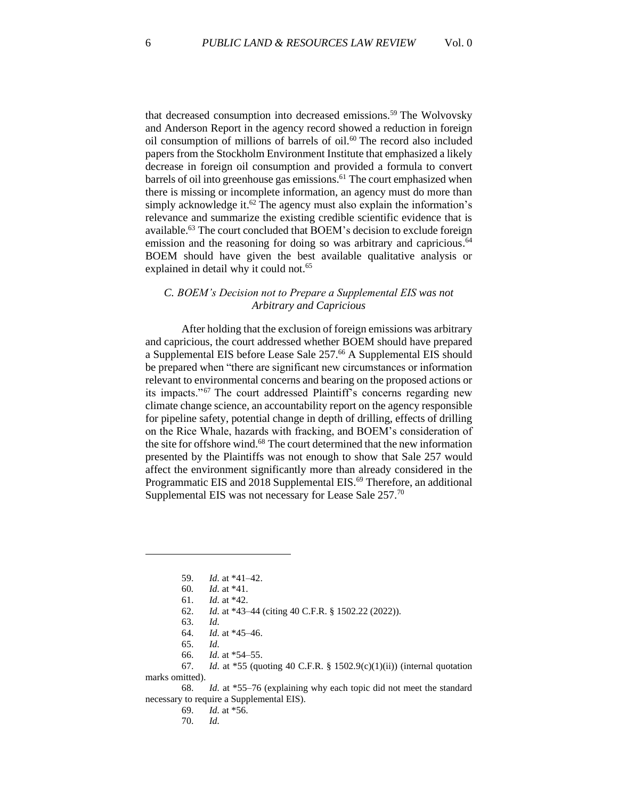that decreased consumption into decreased emissions.<sup>59</sup> The Wolvovsky and Anderson Report in the agency record showed a reduction in foreign oil consumption of millions of barrels of oil.<sup>60</sup> The record also included papers from the Stockholm Environment Institute that emphasized a likely decrease in foreign oil consumption and provided a formula to convert barrels of oil into greenhouse gas emissions.<sup>61</sup> The court emphasized when there is missing or incomplete information, an agency must do more than simply acknowledge it.<sup>62</sup> The agency must also explain the information's relevance and summarize the existing credible scientific evidence that is available.<sup>63</sup> The court concluded that BOEM's decision to exclude foreign emission and the reasoning for doing so was arbitrary and capricious.<sup>64</sup> BOEM should have given the best available qualitative analysis or explained in detail why it could not.<sup>65</sup>

## *C. BOEM's Decision not to Prepare a Supplemental EIS was not Arbitrary and Capricious*

After holding that the exclusion of foreign emissions was arbitrary and capricious, the court addressed whether BOEM should have prepared a Supplemental EIS before Lease Sale 257.<sup>66</sup> A Supplemental EIS should be prepared when "there are significant new circumstances or information relevant to environmental concerns and bearing on the proposed actions or its impacts."<sup>67</sup> The court addressed Plaintiff's concerns regarding new climate change science, an accountability report on the agency responsible for pipeline safety, potential change in depth of drilling, effects of drilling on the Rice Whale, hazards with fracking, and BOEM's consideration of the site for offshore wind.<sup>68</sup> The court determined that the new information presented by the Plaintiffs was not enough to show that Sale 257 would affect the environment significantly more than already considered in the Programmatic EIS and 2018 Supplemental EIS.<sup>69</sup> Therefore, an additional Supplemental EIS was not necessary for Lease Sale 257.<sup>70</sup>

65. *Id.*

<sup>59.</sup> *Id.* at \*41–42.

<sup>60</sup>*. Id.* at \*41.

<sup>61.</sup> *Id.* at \*42.

<sup>62.</sup> *Id.* at \*43–44 (citing 40 C.F.R. § 1502.22 (2022)).

<sup>63.</sup> *Id.*

<sup>64.</sup> *Id.* at \*45–46.

<sup>66.</sup> *Id.* at \*54–55.

<sup>67.</sup> *Id.* at \*55 (quoting 40 C.F.R. § 1502.9(c)(1)(ii)) (internal quotation marks omitted).

<sup>68.</sup> *Id.* at \*55–76 (explaining why each topic did not meet the standard necessary to require a Supplemental EIS).

<sup>69.</sup> *Id.* at \*56.

<sup>70.</sup> *Id.*